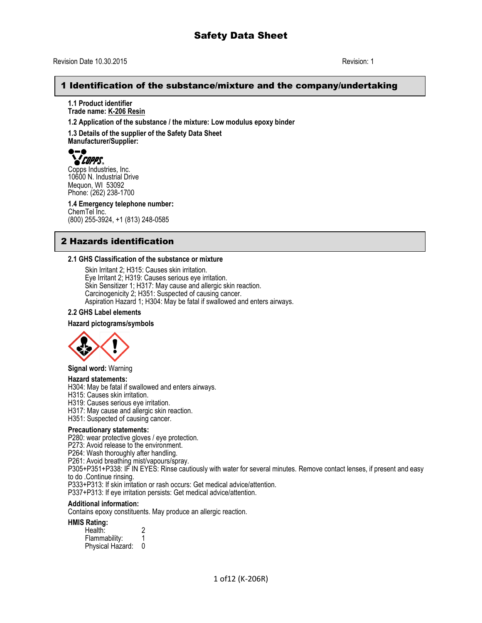### 1 Identification of the substance/mixture and the company/undertaking

**1.1 Product identifier Trade name: K-206 Resin**

**1.2 Application of the substance / the mixture: Low modulus epoxy binder**

**1.3 Details of the supplier of the Safety Data Sheet Manufacturer/Supplier:**

# **YEOPPS.**

Copps Industries, Inc. 10600 N. Industrial Drive Mequon, WI 53092 Phone: (262) 238-1700

**1.4 Emergency telephone number:** ChemTel Inc. (800) 255-3924, +1 (813) 248-0585

# 2 Hazards identification

#### **2.1 GHS Classification of the substance or mixture**

Skin Irritant 2; H315: Causes skin irritation. Eye Irritant 2; H319: Causes serious eye irritation. Skin Sensitizer 1; H317: May cause and allergic skin reaction. Carcinogenicity 2; H351: Suspected of causing cancer. Aspiration Hazard 1; H304: May be fatal if swallowed and enters airways.

#### **2.2 GHS Label elements**

#### **Hazard pictograms/symbols**



**Signal word:** Warning

#### **Hazard statements:**

H304: May be fatal if swallowed and enters airways.

H315: Causes skin irritation.

H319: Causes serious eye irritation.

H317: May cause and allergic skin reaction.

H351: Suspected of causing cancer.

#### **Precautionary statements:**

P280: wear protective gloves / eye protection.

P273: Avoid release to the environment.

P264: Wash thoroughly after handling.

P261: Avoid breathing mist/vapours/spray.

P305+P351+P338: IF IN EYES: Rinse cautiously with water for several minutes. Remove contact lenses, if present and easy to do .Continue rinsing.

P333+P313: If skin irritation or rash occurs: Get medical advice/attention.

P337+P313: If eye irritation persists: Get medical advice/attention.

#### **Additional information:**

Contains epoxy constituents. May produce an allergic reaction.

**HMIS Rating:** 

| Health:          |  |
|------------------|--|
| Flammability:    |  |
| Physical Hazard: |  |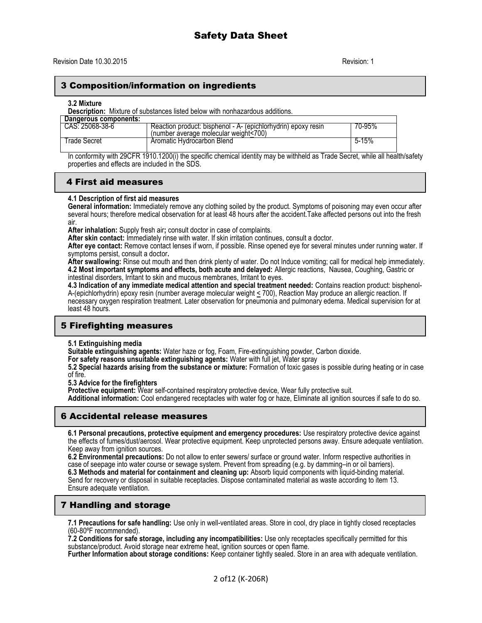# 3 Composition/information on ingredients

#### **3.2 Mixture**

**Description:** Mixture of substances listed below with nonhazardous additions.

| Dangerous components: |                                                                                                        |           |
|-----------------------|--------------------------------------------------------------------------------------------------------|-----------|
| CAS: 25068-38-6       | Reaction product: bisphenol - A- (epichlorhydrin) epoxy resin<br>(number average molecular weight<700) | 70-95%    |
| l rade Secret         | Aromatic Hydrocarbon Blend                                                                             | $5 - 15%$ |

In conformity with 29CFR 1910.1200(i) the specific chemical identity may be withheld as Trade Secret, while all health/safety properties and effects are included in the SDS.

### 4 First aid measures

#### **4.1 Description of first aid measures**

**General information:** Immediately remove any clothing soiled by the product. Symptoms of poisoning may even occur after several hours; therefore medical observation for at least 48 hours after the accident.Take affected persons out into the fresh air.

**After inhalation:** Supply fresh air**;** consult doctor in case of complaints.

**After skin contact:** Immediately rinse with water. If skin irritation continues, consult a doctor.

**After eye contact:** Remove contact lenses if worn, if possible. Rinse opened eye for several minutes under running water. If symptoms persist, consult a doctor**.**

**After swallowing:** Rinse out mouth and then drink plenty of water. Do not Induce vomiting; call for medical help immediately. **4.2 Most important symptoms and effects, both acute and delayed:** Allergic reactions, Nausea, Coughing, Gastric or intestinal disorders, Irritant to skin and mucous membranes, Irritant to eyes.

**4.3 Indication of any immediate medical attention and special treatment needed:** Contains reaction product: bisphenol-A-(epichlorhydrin) epoxy resin (number average molecular weight < 700), Reaction May produce an allergic reaction. If necessary oxygen respiration treatment. Later observation for pneumonia and pulmonary edema. Medical supervision for at least 48 hours.

# 5 Firefighting measures

**5.1 Extinguishing media**

**Suitable extinguishing agents:** Water haze or fog, Foam, Fire-extinguishing powder, Carbon dioxide.

**For safety reasons unsuitable extinguishing agents:** Water with full jet, Water spray

**5.2 Special hazards arising from the substance or mixture:** Formation of toxic gases is possible during heating or in case of fire.

**5.3 Advice for the firefighters**

Protective equipment: Wear self-contained respiratory protective device, Wear fully protective suit.

**Additional information:** Cool endangered receptacles with water fog or haze, Eliminate all ignition sources if safe to do so.

### 6 Accidental release measures

**6.1 Personal precautions, protective equipment and emergency procedures:** Use respiratory protective device against the effects of fumes/dust/aerosol. Wear protective equipment. Keep unprotected persons away. Ensure adequate ventilation. Keep away from ignition sources.

**6.2 Environmental precautions:** Do not allow to enter sewers/ surface or ground water. Inform respective authorities in case of seepage into water course or sewage system. Prevent from spreading (e.g. by damming–in or oil barriers). **6.3 Methods and material for containment and cleaning up:** Absorb liquid components with liquid-binding material. Send for recovery or disposal in suitable receptacles. Dispose contaminated material as waste according to item 13. Ensure adequate ventilation.

# 7 Handling and storage

**7.1 Precautions for safe handling:** Use only in well-ventilated areas. Store in cool, dry place in tightly closed receptacles (60-80ºF recommended).

**7.2 Conditions for safe storage, including any incompatibilities:** Use only receptacles specifically permitted for this substance/product. Avoid storage near extreme heat, ignition sources or open flame.

**Further Information about storage conditions:** Keep container tightly sealed. Store in an area with adequate ventilation.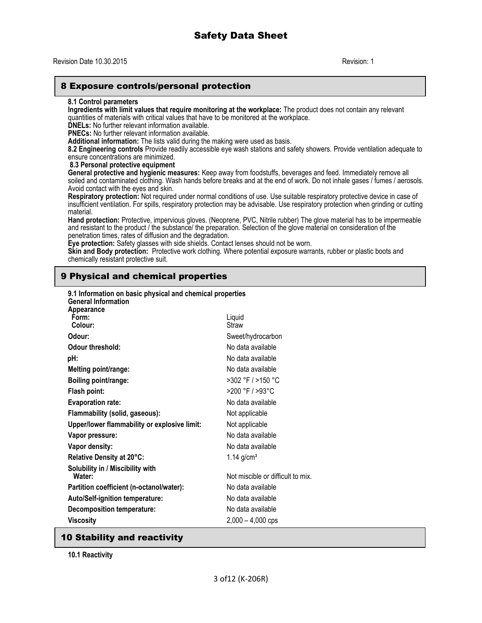### 8 Exposure controls/personal protection

#### **8.1 Control parameters**

**Ingredients with limit values that require monitoring at the workplace:** The product does not contain any relevant quantities of materials with critical values that have to be monitored at the workplace.

**DNELs:** No further relevant information available.

**PNECs:** No further relevant information available.

**Additional information:** The lists valid during the making were used as basis.

**8.2 Engineering controls** Provide readily accessible eye wash stations and safety showers. Provide ventilation adequate to ensure concentrations are minimized.

**8.3 Personal protective equipment**

**General protective and hygienic measures:** Keep away from foodstuffs, beverages and feed. Immediately remove all soiled and contaminated clothing. Wash hands before breaks and at the end of work. Do not inhale gases / fumes / aerosols. Avoid contact with the eyes and skin.

**Respiratory protection:** Not required under normal conditions of use. Use suitable respiratory protective device in case of insufficient ventilation. For spills, respiratory protection may be advisable. Use respiratory protection when grinding or cutting material.

**Hand protection:** Protective, impervious gloves. (Neoprene, PVC, Nitrile rubber) The glove material has to be impermeable and resistant to the product / the substance/ the preparation. Selection of the glove material on consideration of the penetration times, rates of diffusion and the degradation.

**Eye protection:** Safety glasses with side shields. Contact lenses should not be worn.

**Skin and Body protection:** Protective work clothing. Where potential exposure warrants, rubber or plastic boots and chemically resistant protective suit.

# 9 Physical and chemical properties

| 9.1 Information on basic physical and chemical properties<br><b>General Information</b> |                                   |
|-----------------------------------------------------------------------------------------|-----------------------------------|
| <b>Appearance</b><br>Form:<br>Colour:                                                   | Liquid<br>Straw                   |
| Odour:                                                                                  | Sweet/hydrocarbon                 |
| Odour threshold:                                                                        | No data available                 |
| pH:                                                                                     | No data available                 |
| Melting point/range:                                                                    | No data available                 |
| Boiling point/range:                                                                    | >302 °F / >150 °C                 |
| Flash point:                                                                            | >200 °F / >93 °C                  |
| <b>Evaporation rate:</b>                                                                | No data available                 |
| Flammability (solid, gaseous):                                                          | Not applicable                    |
| Upper/lower flammability or explosive limit:                                            | Not applicable                    |
| Vapor pressure:                                                                         | No data available                 |
| Vapor density:                                                                          | No data available                 |
| Relative Density at 20°C:                                                               | 1.14 $g/cm^{3}$                   |
| Solubility in / Miscibility with<br>Water:                                              | Not miscible or difficult to mix. |
| Partition coefficient (n-octanol/water):                                                | No data available                 |
| <b>Auto/Self-ignition temperature:</b>                                                  | No data available                 |
| <b>Decomposition temperature:</b>                                                       | No data available                 |
| <b>Viscosity</b>                                                                        | $2,000 - 4,000$ cps               |
|                                                                                         |                                   |

# 10 Stability and reactivity

**10.1 Reactivity**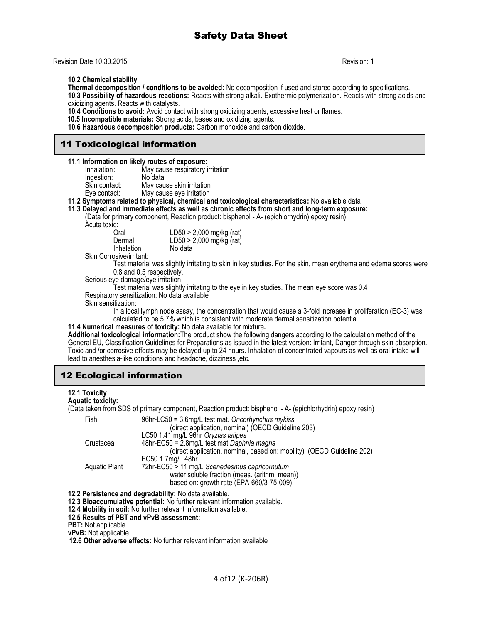Revision Date 10.30.2015 Revision: 1

**10.2 Chemical stability**

**Thermal decomposition / conditions to be avoided:** No decomposition if used and stored according to specifications. **10.3 Possibility of hazardous reactions:** Reacts with strong alkali. Exothermic polymerization. Reacts with strong acids and oxidizing agents. Reacts with catalysts.

**10.4 Conditions to avoid:** Avoid contact with strong oxidizing agents, excessive heat or flames.

 **10.5 Incompatible materials:** Strong acids, bases and oxidizing agents.

**10.6 Hazardous decomposition products:** Carbon monoxide and carbon dioxide.

# 11 Toxicological information

| Inhalation:   | May cause respiratory irritation |
|---------------|----------------------------------|
| Ingestion:    | No data                          |
| Skin contact: | May cause skin irritation        |
| Eye contact:  | May cause eye irritation         |

**11.2 Symptoms related to physical, chemical and toxicological characteristics:** No available data

**11.3 Delayed and immediate effects as well as chronic effects from short and long-term exposure:** 

(Data for primary component, Reaction product: bisphenol - A- (epichlorhydrin) epoxy resin)

Acute toxic:

| Oral       | LD50 > 2,000 mg/kg (rat) |
|------------|--------------------------|
| Dermal     | LD50 > 2,000 mg/kg (rat) |
| Inhalation | No data                  |
| . <i>.</i> |                          |

Skin Corrosive/irritant:

Test material was slightly irritating to skin in key studies. For the skin, mean erythema and edema scores were 0.8 and 0.5 respectively.

Serious eye damage/eye irritation:

Test material was slightly irritating to the eye in key studies. The mean eye score was 0.4 Respiratory sensitization: No data available

Skin sensitization:

In a local lymph node assay, the concentration that would cause a 3-fold increase in proliferation (EC-3) was calculated to be 5.7% which is consistent with moderate dermal sensitization potential.

**11.4 Numerical measures of toxicity:** No data available for mixture**.**

**Additional toxicological information:**The product show the following dangers according to the calculation method of the General EU**,** Classification Guidelines for Preparations as issued in the latest version: Irritant**,** Danger through skin absorption. Toxic and /or corrosive effects may be delayed up to 24 hours. Inhalation of concentrated vapours as well as oral intake will lead to anesthesia-like conditions and headache, dizziness ,etc.

# 12 Ecological information

#### **12.1 Toxicity**

(Data taken from SDS of primary component, Reaction product: bisphenol - A- (epichlorhydrin) epoxy resin)

| Fish          | 96hr-LC50 = 3.6mg/L test mat. Oncorhynchus mykiss<br>(direct application, nominal) (OECD Guideline 203) |
|---------------|---------------------------------------------------------------------------------------------------------|
|               | LC50 1.41 mg/L 96hr Oryzias latipes                                                                     |
| Crustacea     | 48hr-EC50 = 2.8mg/L test mat Daphnia magna                                                              |
|               | (direct application, nominal, based on: mobility) (OECD Guideline 202)                                  |
|               | EC50 1.7mg/L 48hr                                                                                       |
| Aquatic Plant | 72hr-EC50 > 11 mg/L Scenedesmus capricornutum                                                           |
|               | water soluble fraction (meas. (arithm. mean))                                                           |
|               | based on: growth rate (EPA-660/3-75-009)                                                                |

**12.2 Persistence and degradability:** No data available.

**12.3 Bioaccumulative potential:** No further relevant information available.

**12.4 Mobility in soil:** No further relevant information available.

**12.5 Results of PBT and vPvB assessment:**

**PBT:** Not applicable.

**vPvB:** Not applicable.

 **12.6 Other adverse effects:** No further relevant information available

**Aquatic toxicity:**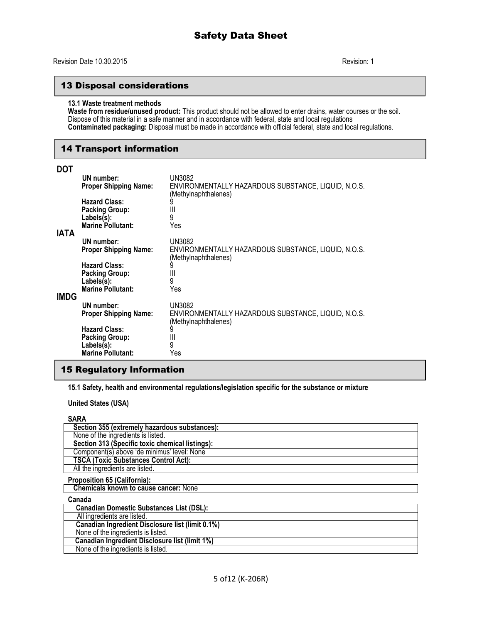# 13 Disposal considerations

#### **13.1 Waste treatment methods**

**Waste from residue/unused product:** This product should not be allowed to enter drains, water courses or the soil. Dispose of this material in a safe manner and in accordance with federal, state and local regulations **Contaminated packaging:** Disposal must be made in accordance with official federal, state and local regulations.

## 14 Transport information

| DOT         |                                                                                         |                                                                             |
|-------------|-----------------------------------------------------------------------------------------|-----------------------------------------------------------------------------|
|             | UN number:                                                                              | UN3082                                                                      |
|             | <b>Proper Shipping Name:</b>                                                            | ENVIRONMENTALLY HAZARDOUS SUBSTANCE, LIQUID, N.O.S.                         |
|             | <b>Hazard Class:</b><br><b>Packing Group:</b><br>Labels(s):<br><b>Marine Pollutant:</b> | (Methylnaphthalenes)<br>9<br>Ш<br>9<br>Yes                                  |
| <b>IATA</b> | UN number:                                                                              | UN3082                                                                      |
|             | <b>Proper Shipping Name:</b>                                                            | ENVIRONMENTALLY HAZARDOUS SUBSTANCE, LIQUID, N.O.S.<br>(Methylnaphthalenes) |
|             | <b>Hazard Class:</b>                                                                    |                                                                             |
|             | <b>Packing Group:</b>                                                                   | Ш<br>9                                                                      |
|             | $Labels(s)$ :<br><b>Marine Pollutant:</b>                                               | Yes                                                                         |
| <b>IMDG</b> |                                                                                         |                                                                             |
|             | UN number:                                                                              | UN3082                                                                      |
|             | <b>Proper Shipping Name:</b>                                                            | ENVIRONMENTALLY HAZARDOUS SUBSTANCE, LIQUID, N.O.S.<br>(Methylnaphthalenes) |
|             | <b>Hazard Class:</b>                                                                    | 9                                                                           |
|             | <b>Packing Group:</b>                                                                   | Ш                                                                           |
|             | $Labels(s)$ :<br><b>Marine Pollutant:</b>                                               | 9<br>Yes                                                                    |
|             |                                                                                         |                                                                             |

# 15 Regulatory Information

**15.1 Safety, health and environmental regulations/legislation specific for the substance or mixture**

**United States (USA)**

#### **SARA**

| Section 355 (extremely hazardous substances):    |
|--------------------------------------------------|
| None of the ingredients is listed.               |
| Section 313 (Specific toxic chemical listings):  |
| Component(s) above 'de minimus' level: None      |
| <b>TSCA (Toxic Substances Control Act):</b>      |
| All the ingredients are listed.                  |
| <b>Proposition 65 (California):</b>              |
| <b>Chemicals known to cause cancer: None</b>     |
| Canada                                           |
| <b>Canadian Domestic Substances List (DSL):</b>  |
| All ingredients are listed.                      |
| Canadian Ingredient Disclosure list (limit 0.1%) |
| None of the ingredients is listed.               |
| Canadian Ingredient Disclosure list (limit 1%)   |
| None of the ingredients is listed.               |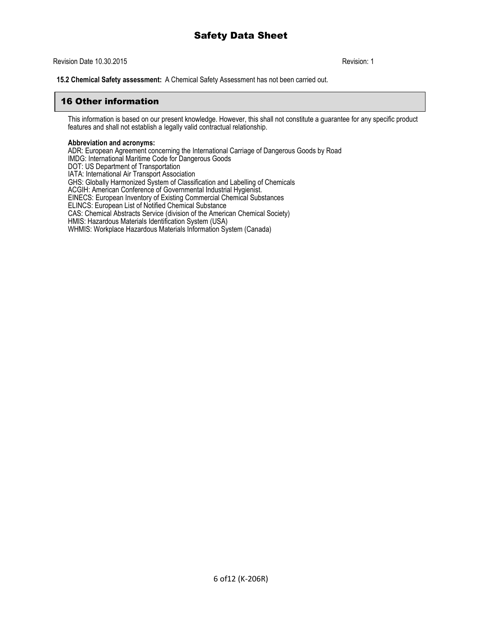Revision Date 10.30.2015 **Revision: 1 Revision: 1** 

**15.2 Chemical Safety assessment:** A Chemical Safety Assessment has not been carried out.

# 16 Other information

This information is based on our present knowledge. However, this shall not constitute a guarantee for any specific product features and shall not establish a legally valid contractual relationship.

#### **Abbreviation and acronyms:**

ADR: European Agreement concerning the International Carriage of Dangerous Goods by Road IMDG: International Maritime Code for Dangerous Goods DOT: US Department of Transportation IATA: International Air Transport Association GHS: Globally Harmonized System of Classification and Labelling of Chemicals ACGIH: American Conference of Governmental Industrial Hygienist. EINECS: European Inventory of Existing Commercial Chemical Substances ELINCS: European List of Notified Chemical Substance CAS: Chemical Abstracts Service (division of the American Chemical Society) HMIS: Hazardous Materials Identification System (USA) WHMIS: Workplace Hazardous Materials Information System (Canada)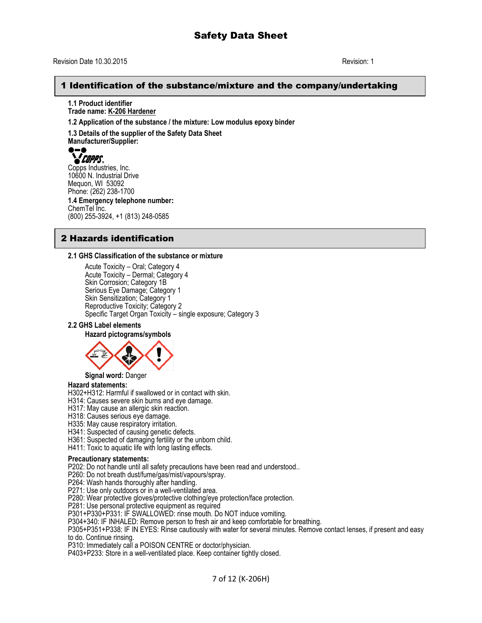# 1 Identification of the substance/mixture and the company/undertaking

**1.1 Product identifier Trade name: K-206 Hardener**

**1.2 Application of the substance / the mixture: Low modulus epoxy binder**

**1.3 Details of the supplier of the Safety Data Sheet Manufacturer/Supplier:**



Copps Industries, Inc. 10600 N. Industrial Drive Mequon, WI 53092 Phone: (262) 238-1700 **1.4 Emergency telephone number:** ChemTel Inc. (800) 255-3924, +1 (813) 248-0585

# 2 Hazards identification

#### **2.1 GHS Classification of the substance or mixture**

Acute Toxicity – Oral; Category 4 Acute Toxicity – Dermal; Category 4 Skin Corrosion; Category 1B Serious Eye Damage; Category 1 Skin Sensitization; Category 1 Reproductive Toxicity; Category 2 Specific Target Organ Toxicity – single exposure; Category 3

#### **2.2 GHS Label elements**

**Hazard pictograms/symbols**



**Signal word:** Danger

#### **Hazard statements:**

H302+H312: Harmful if swallowed or in contact with skin.

H314: Causes severe skin burns and eye damage.

H317: May cause an allergic skin reaction.

H318: Causes serious eye damage.

H335: May cause respiratory irritation.

H341: Suspected of causing genetic defects.

H361: Suspected of damaging fertility or the unborn child.

H411: Toxic to aquatic life with long lasting effects.

#### **Precautionary statements:**

P202: Do not handle until all safety precautions have been read and understood..

P260: Do not breath dust/fume/gas/mist/vapours/spray.

P264: Wash hands thoroughly after handling.

P271: Use only outdoors or in a well-ventilated area.

P280: Wear protective gloves/protective clothing/eye protection/face protection.

P281: Use personal protective equipment as required

P301+P330+P331: IF SWALLOWED: rinse mouth. Do NOT induce vomiting.

P304+340: IF INHALED: Remove person to fresh air and keep comfortable for breathing.

P305+P351+P338: IF IN EYES: Rinse cautiously with water for several minutes. Remove contact lenses, if present and easy to do. Continue rinsing.

P310: Immediately call a POISON CENTRE or doctor/physician.

P403+P233: Store in a well-ventilated place. Keep container tightly closed.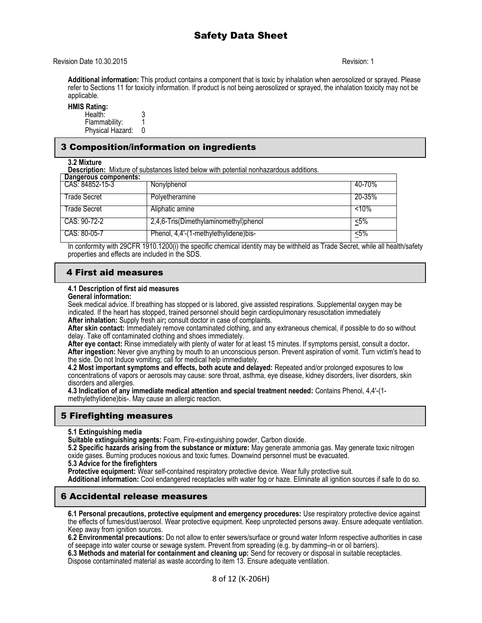**Additional information:** This product contains a component that is toxic by inhalation when aerosolized or sprayed. Please refer to Sections 11 for toxicity information. If product is not being aerosolized or sprayed, the inhalation toxicity may not be applicable.

**HMIS Rating:** 

| Health:          |  |
|------------------|--|
| Flammability:    |  |
| Physical Hazard: |  |

# 3 Composition/information on ingredients

**3.2 Mixture**

**Description:** Mixture of substances listed below with potential nonhazardous additions.

| Dangerous components: |                                       |          |
|-----------------------|---------------------------------------|----------|
| CAS: 84852-15-3       | Nonylphenol                           | 40-70%   |
| Trade Secret          | Polyetheramine                        | 20-35%   |
|                       |                                       |          |
| Trade Secret          | Aliphatic amine                       | $< 10\%$ |
| CAS: 90-72-2          | 2,4,6-Tris(Dimethylaminomethyl)phenol | <5%      |
| CAS: 80-05-7          | Phenol, 4,4'-(1-methylethylidene)bis- | <5%      |

In conformity with 29CFR 1910.1200(i) the specific chemical identity may be withheld as Trade Secret, while all health/safety properties and effects are included in the SDS.

# 4 First aid measures

#### **4.1 Description of first aid measures**

**General information:**

Seek medical advice. If breathing has stopped or is labored, give assisted respirations. Supplemental oxygen may be indicated. If the heart has stopped, trained personnel should begin cardiopulmonary resuscitation immediately **After inhalation:** Supply fresh air**;** consult doctor in case of complaints.

**After skin contact:** Immediately remove contaminated clothing, and any extraneous chemical, if possible to do so without delay. Take off contaminated clothing and shoes immediately.

**After eye contact:** Rinse immediately with plenty of water for at least 15 minutes. If symptoms persist, consult a doctor**. After ingestion:** Never give anything by mouth to an unconscious person. Prevent aspiration of vomit. Turn victim's head to the side. Do not Induce vomiting; call for medical help immediately.

**4.2 Most important symptoms and effects, both acute and delayed:** Repeated and/or prolonged exposures to low concentrations of vapors or aerosols may cause: sore throat, asthma, eye disease, kidney disorders, liver disorders, skin disorders and allergies.

**4.3 Indication of any immediate medical attention and special treatment needed:** Contains Phenol, 4,4'-(1 methylethylidene)bis-. May cause an allergic reaction.

# 5 Firefighting measures

# **5.1 Extinguishing media**

**Suitable extinguishing agents:** Foam, Fire-extinguishing powder, Carbon dioxide.

**5.2 Specific hazards arising from the substance or mixture:** May generate ammonia gas. May generate toxic nitrogen oxide gases. Burning produces noxious and toxic fumes. Downwind personnel must be evacuated.

**5.3 Advice for the firefighters**

**Protective equipment:** Wear self-contained respiratory protective device. Wear fully protective suit.

**Additional information:** Cool endangered receptacles with water fog or haze. Eliminate all ignition sources if safe to do so.

# 6 Accidental release measures

**6.1 Personal precautions, protective equipment and emergency procedures:** Use respiratory protective device against the effects of fumes/dust/aerosol. Wear protective equipment. Keep unprotected persons away. Ensure adequate ventilation. Keep away from ignition sources.

**6.2 Environmental precautions:** Do not allow to enter sewers/surface or ground water Inform respective authorities in case of seepage into water course or sewage system. Prevent from spreading (e.g. by damming–in or oil barriers).

**6.3 Methods and material for containment and cleaning up:** Send for recovery or disposal in suitable receptacles. Dispose contaminated material as waste according to item 13. Ensure adequate ventilation.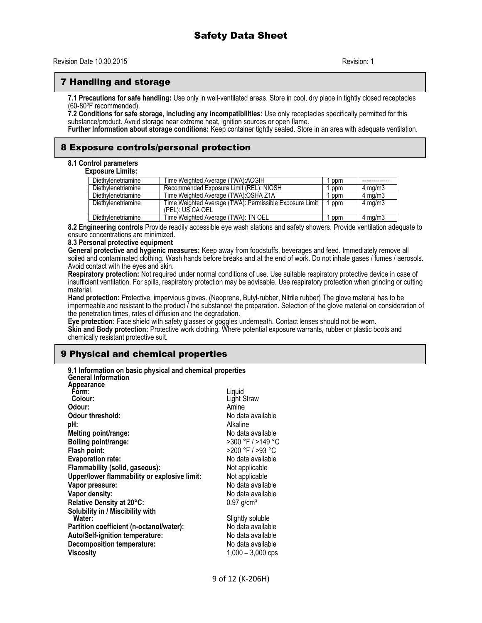# 7 Handling and storage

**7.1 Precautions for safe handling:** Use only in well-ventilated areas. Store in cool, dry place in tightly closed receptacles (60-80ºF recommended).

**7.2 Conditions for safe storage, including any incompatibilities:** Use only receptacles specifically permitted for this substance/product. Avoid storage near extreme heat, ignition sources or open flame.

**Further Information about storage conditions:** Keep container tightly sealed. Store in an area with adequate ventilation.

## 8 Exposure controls/personal protection

#### **8.1 Control parameters**

**Exposure Limits:**

| Diethylenetriamine | Time Weighted Average (TWA):ACGIH                                           | ppm |                    |
|--------------------|-----------------------------------------------------------------------------|-----|--------------------|
| Diethylenetriamine | Recommended Exposure Limit (REL): NIOSH                                     | ppm | $4 \text{ ma/m}$ 3 |
| Diethylenetriamine | Time Weighted Average (TWA):OSHA Z1A                                        | ppm | $4 \text{ ma/m}$ 3 |
| Diethylenetriamine | Time Weighted Average (TWA): Permissible Exposure Limit<br>(PEL): US CA OEL | ppm | $4 \text{ mg/m}$   |
| Diethylenetriamine | Time Weighted Average (TWA): TN OEL                                         | ppm | $4 \text{ ma/m}$ 3 |

**8.2 Engineering controls** Provide readily accessible eye wash stations and safety showers. Provide ventilation adequate to ensure concentrations are minimized.

#### **8.3 Personal protective equipment**

**General protective and hygienic measures:** Keep away from foodstuffs, beverages and feed. Immediately remove all soiled and contaminated clothing. Wash hands before breaks and at the end of work. Do not inhale gases / fumes / aerosols. Avoid contact with the eyes and skin.

**Respiratory protection:** Not required under normal conditions of use. Use suitable respiratory protective device in case of insufficient ventilation. For spills, respiratory protection may be advisable. Use respiratory protection when grinding or cutting material.

**Hand protection:** Protective, impervious gloves. (Neoprene, Butyl-rubber, Nitrile rubber) The glove material has to be impermeable and resistant to the product  $\tilde{I}$  the substance/ the preparation. Selection of the glove material on consideration of the penetration times, rates of diffusion and the degradation.

**Eye protection:** Face shield with safety glasses or goggles underneath. Contact lenses should not be worn.

**Skin and Body protection:** Protective work clothing. Where potential exposure warrants, rubber or plastic boots and chemically resistant protective suit.

# 9 Physical and chemical properties

| 9.1 Information on basic physical and chemical properties<br><b>General Information</b> |                          |
|-----------------------------------------------------------------------------------------|--------------------------|
| Appearance                                                                              |                          |
| Form:                                                                                   | Liguid                   |
| Colour:                                                                                 | Light Straw              |
| Odour:                                                                                  | Amine                    |
| Odour threshold:                                                                        | No data available        |
| pH:                                                                                     | Alkaline                 |
| Melting point/range:                                                                    | No data available        |
| Boiling point/range:                                                                    | >300 °F / >149 °C        |
| Flash point:                                                                            | >200 °F / >93 °C         |
| <b>Evaporation rate:</b>                                                                | No data available        |
| Flammability (solid, gaseous):                                                          | Not applicable           |
| Upper/lower flammability or explosive limit:                                            | Not applicable           |
| Vapor pressure:                                                                         | No data available        |
| Vapor density:                                                                          | No data available        |
| Relative Density at 20°C:                                                               | $0.97$ g/cm <sup>3</sup> |
| Solubility in / Miscibility with                                                        |                          |
| Water:                                                                                  | Slightly soluble         |
| Partition coefficient (n-octanol/water):                                                | No data available        |
| Auto/Self-ignition temperature:                                                         | No data available        |
| Decomposition temperature:                                                              | No data available        |
| Viscosity                                                                               | $1,000 - 3,000$ cps      |
|                                                                                         |                          |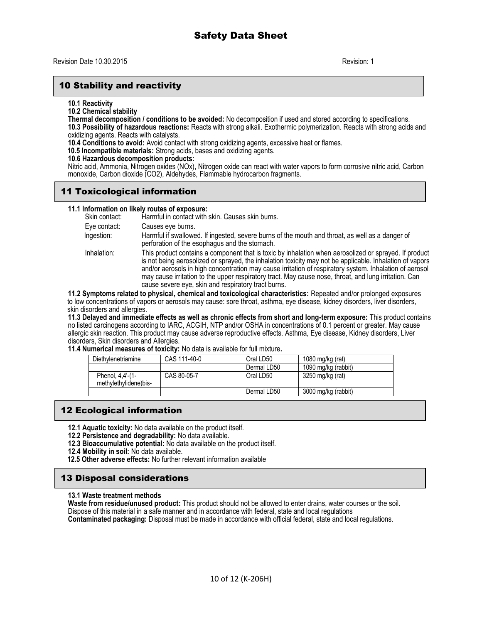# 10 Stability and reactivity

**10.1 Reactivity**

**10.2 Chemical stability**

**Thermal decomposition / conditions to be avoided:** No decomposition if used and stored according to specifications. **10.3 Possibility of hazardous reactions:** Reacts with strong alkali. Exothermic polymerization. Reacts with strong acids and oxidizing agents. Reacts with catalysts.

**10.4 Conditions to avoid:** Avoid contact with strong oxidizing agents, excessive heat or flames.

 **10.5 Incompatible materials:** Strong acids, bases and oxidizing agents.

#### **10.6 Hazardous decomposition products:**

Nitric acid, Ammonia, Nitrogen oxides (NOx), Nitrogen oxide can react with water vapors to form corrosive nitric acid, Carbon monoxide, Carbon dioxide (CO2), Aldehydes, Flammable hydrocarbon fragments.

# 11 Toxicological information

**11.1 Information on likely routes of exposure:** Harmful in contact with skin. Causes skin burns. Eye contact: Causes eye burns. Ingestion: Harmful if swallowed. If ingested, severe burns of the mouth and throat, as well as a danger of perforation of the esophagus and the stomach. Inhalation: This product contains a component that is toxic by inhalation when aerosolized or sprayed. If product is not being aerosolized or sprayed, the inhalation toxicity may not be applicable. Inhalation of vapors and/or aerosols in high concentration may cause irritation of respiratory system. Inhalation of aerosol may cause irritation to the upper respiratory tract. May cause nose, throat, and lung irritation. Can cause severe eye, skin and respiratory tract burns.

**11.2 Symptoms related to physical, chemical and toxicological characteristics:** Repeated and/or prolonged exposures to low concentrations of vapors or aerosols may cause: sore throat, asthma, eye disease, kidney disorders, liver disorders, skin disorders and allergies.

**11.3 Delayed and immediate effects as well as chronic effects from short and long-term exposure:** This product contains no listed carcinogens according to IARC, ACGIH, NTP and/or OSHA in concentrations of 0.1 percent or greater. May cause allergic skin reaction. This product may cause adverse reproductive effects. Asthma, Eye disease, Kidney disorders, Liver disorders, Skin disorders and Allergies.

**11.4 Numerical measures of toxicity:** No data is available for full mixture**.** 

| Diethylenetriamine                        | CAS 111-40-0 | Oral LD50   | 1080 mg/kg (rat)    |
|-------------------------------------------|--------------|-------------|---------------------|
|                                           |              | Dermal LD50 | 1090 mg/kg (rabbit) |
| Phenol, 4,4'-(1-<br>methylethylidene)bis- | CAS 80-05-7  | Oral LD50   | 3250 mg/kg (rat)    |
|                                           |              | Dermal LD50 | 3000 mg/kg (rabbit) |

# 12 Ecological information

- **12.1 Aquatic toxicity:** No data available on the product itself.
- **12.2 Persistence and degradability:** No data available.
- **12.3 Bioaccumulative potential:** No data available on the product itself.
- **12.4 Mobility in soil:** No data available.
- **12.5 Other adverse effects:** No further relevant information available

# 13 Disposal considerations

#### **13.1 Waste treatment methods**

**Waste from residue/unused product:** This product should not be allowed to enter drains, water courses or the soil. Dispose of this material in a safe manner and in accordance with federal, state and local regulations **Contaminated packaging:** Disposal must be made in accordance with official federal, state and local regulations.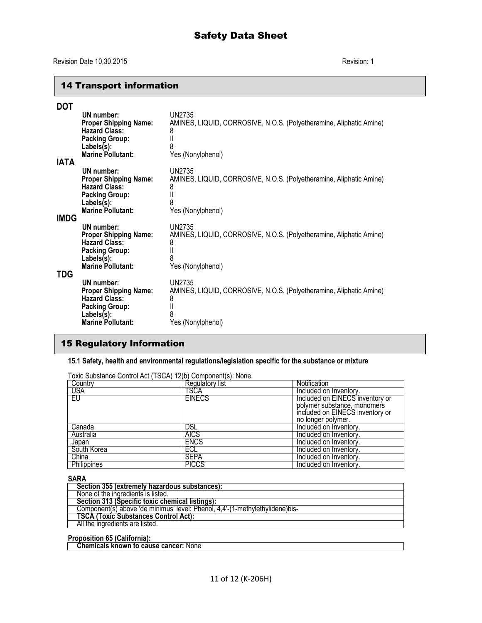# 14 Transport information

| DOT         |                                                                                                                                       |                                                                                                                    |
|-------------|---------------------------------------------------------------------------------------------------------------------------------------|--------------------------------------------------------------------------------------------------------------------|
| <b>IATA</b> | UN number:<br><b>Proper Shipping Name:</b><br><b>Hazard Class:</b><br><b>Packing Group:</b><br>Labels(s):<br><b>Marine Pollutant:</b> | UN2735<br>AMINES, LIQUID, CORROSIVE, N.O.S. (Polyetheramine, Aliphatic Amine)<br>8<br>II<br>8<br>Yes (Nonylphenol) |
| <b>IMDG</b> | UN number:<br><b>Proper Shipping Name:</b><br><b>Hazard Class:</b><br><b>Packing Group:</b><br>Labels(s):<br><b>Marine Pollutant:</b> | UN2735<br>AMINES, LIQUID, CORROSIVE, N.O.S. (Polyetheramine, Aliphatic Amine)<br>8<br>II<br>8<br>Yes (Nonylphenol) |
| TDG         | UN number:<br><b>Proper Shipping Name:</b><br><b>Hazard Class:</b><br><b>Packing Group:</b><br>Labels(s):<br><b>Marine Pollutant:</b> | UN2735<br>AMINES, LIQUID, CORROSIVE, N.O.S. (Polyetheramine, Aliphatic Amine)<br>8<br>II<br>8<br>Yes (Nonylphenol) |
|             | UN number:<br><b>Proper Shipping Name:</b><br><b>Hazard Class:</b><br><b>Packing Group:</b><br>Labels(s):<br><b>Marine Pollutant:</b> | UN2735<br>AMINES, LIQUID, CORROSIVE, N.O.S. (Polyetheramine, Aliphatic Amine)<br>8<br>Ш<br>8<br>Yes (Nonylphenol)  |

# 15 Regulatory Information

**15.1 Safety, health and environmental regulations/legislation specific for the substance or mixture**

| i UXIU Odvalalice Control Aut (TOOA) TZ(D) Component(3). None. |                 |                                 |  |  |
|----------------------------------------------------------------|-----------------|---------------------------------|--|--|
| Country                                                        | Regulatory list | Notification                    |  |  |
| <b>USA</b>                                                     | TSCA            | Included on Inventory.          |  |  |
| EU                                                             | <b>EINECS</b>   | Included on EINECS inventory or |  |  |
|                                                                |                 | polymer substance, monomers     |  |  |
|                                                                |                 | included on EINECS inventory or |  |  |
|                                                                |                 | no longer polymer.              |  |  |
| Canada                                                         | DSL             | Included on Inventory.          |  |  |
| Australia                                                      | <b>AICS</b>     | Included on Inventory.          |  |  |
| Japan                                                          | <b>ENCS</b>     | Included on Inventory.          |  |  |
| South Korea                                                    | ECL             | Included on Inventory.          |  |  |
| China                                                          | <b>SEPA</b>     | Included on Inventory.          |  |  |
| Philippines                                                    | <b>PICCS</b>    | Included on Inventory.          |  |  |

Toxic Substance Control Act (TSCA) 12(b) Component(s): None.

#### **SARA**

| Section 355 (extremely hazardous substances):                                |
|------------------------------------------------------------------------------|
| None of the ingredients is listed.                                           |
| Section 313 (Specific toxic chemical listings):                              |
| Component(s) above 'de minimus' level: Phenol. 4.4'-(1-methylethylidene)bis- |
| <b>TSCA (Toxic Substances Control Act):</b>                                  |
| All the ingredients are listed.                                              |
|                                                                              |

# **Proposition 65 (California):**

 **Chemicals known to cause cancer:** None